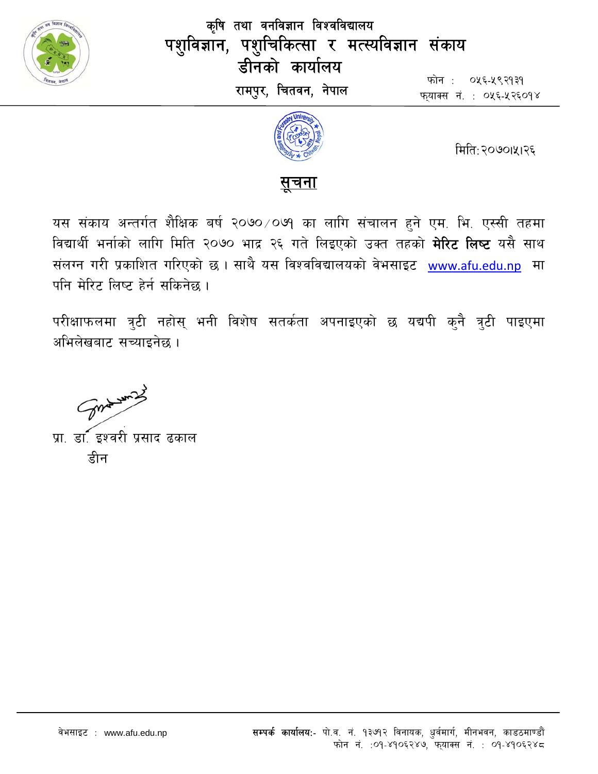

कृषि तथा वनविज्ञान विश्वविद्यालय पशुविज्ञान, पशुचिकित्सा र मत्स्यविज्ञान संकाय डीनको कार्यालय रामपुर, चितवन, नेपाल

फोन : ०५६-५९२१३१ फयाक्स नं. : ०५६-५२६०१४



मिति:२०७०।५१२६



यस संकाय अन्तर्गत शैक्षिक बर्ष २०७० ⁄ ०७१ का लागि संचालन हुने एम. भि. एस्सी तहमा विद्यार्थी भर्नाको लागि मिति २०७० भाद्र २६ गते लिइएको उक्त तहको **मेरिट लिष्ट** यसै साथ संलग्न गरी प्रकाशित गरिएको छ । साथै यस विश्वविद्यालयको वेभसाइट www.afu.edu.np मा पनि मेरिट लिष्ट हेर्न सकिनेछ ।

परीक्षाफलमा त्रुटी नहोस् भनी विशेष सतर्कता अपनाइएको छ यद्यपी कुनै त्रुटी पाइएमा अभिलेखबाट सच्याइनेछ ।

Sure win 2

प्रा. डॉ. इश्वरी प्रसाद ढकाल डीन